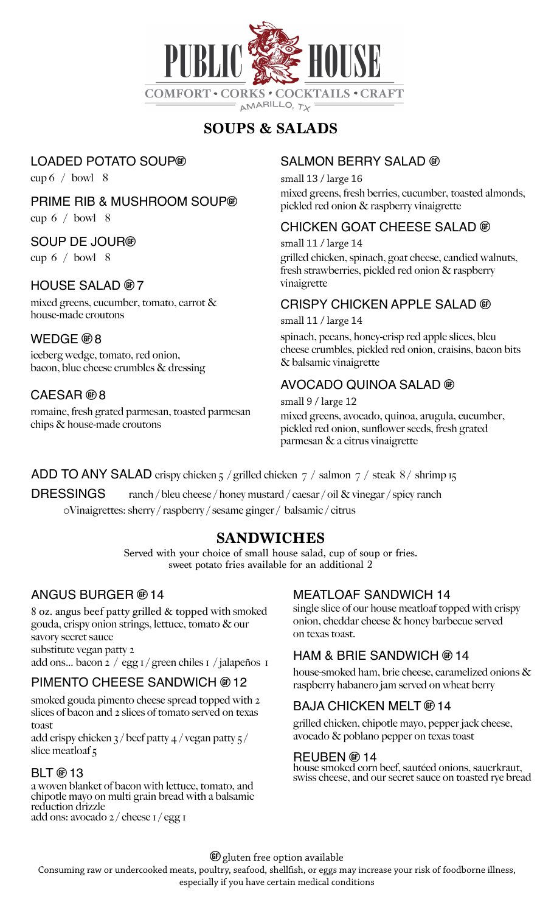

# **SOUPS & SALADS**

# LOADED POTATO SOUP

cup  $6 /$  bowl 8

### PRIME RIB & MUSHROOM SOUP

cup  $6 /$  bowl 8

## SOUP DE JOUR

cup  $6 /$  bowl  $8$ 

# $HOUSE$  SALAD  $@7$

mixed greens, cucumber, tomato, carrot & house-made croutons

## WEDGE ®8

iceberg wedge, tomato, red onion, bacon, blue cheese crumbles & dressing

# $CAESAR @ 8$

romaine, fresh grated parmesan, toasted parmesan chips & house-made croutons

# SALMON BERRY SALAD ®

small 13 / large 16 mixed greens, fresh berries, cucumber, toasted almonds, pickled red onion & raspberry vinaigrette

## CHICKEN GOAT CHEESE SALAD

small 11 / large 14 grilled chicken, spinach, goat cheese, candied walnuts, fresh strawberries, pickled red onion & raspberry vinaigrette

## CRISPY CHICKEN APPLE SALAD

small 11 / large 14

spinach, pecans, honey-crisp red apple slices, bleu cheese crumbles, pickled red onion, craisins, bacon bits & balsamic vinaigrette

# AVOCADO QUINOA SALAD

small 9 / large 12 mixed greens, avocado, quinoa, arugula, cucumber, pickled red onion, sunflower seeds, fresh grated parmesan & a citrus vinaigrette

## ADD TO ANY SALAD crispy chicken  $\frac{1}{2}$  / grilled chicken  $\frac{1}{2}$  / salmon  $\frac{1}{2}$  / steak 8 / shrimp 15

DRESSINGS ranch / bleu cheese / honey mustard / caesar / oil & vinegar / spicy ranch

0Vinaigrettes: sherry / raspberry / sesame ginger / balsamic / citrus

# **SANDWICHES**

Served with your choice of small house salad, cup of soup or fries. sweet potato fries available for an additional 2

## ANGUS BURGER ® 14

8 oz. angus beef patty grilled & topped with smoked gouda, crispy onion strings, lettuce, tomato & our savory secret sauce substitute vegan patty 2 add ons… bacon 2 / egg 1 / green chiles 1 / jalapeños 1

# PIMENTO CHEESE SANDWICH ® 12

smoked gouda pimento cheese spread topped with 2 slices of bacon and 2 slices of tomato served on texas toast

add crispy chicken 3 / beef patty 4 / vegan patty 5 / slice meatloaf 5

### $BLT \oplus 13$

a woven blanket of bacon with lettuce, tomato, and chipotle mayo on multi grain bread with a balsamic reduction drizzle add ons: avocado 2 / cheese 1 / egg 1

### MEATLOAF SANDWICH 14

single slice of our house meatloaf topped with crispy onion, cheddar cheese & honey barbecue served on texas toast.

## HAM & BRIE SANDWICH  $@14$

house-smoked ham, brie cheese, caramelized onions & raspberry habanero jam served on wheat berry

# BAJA CHICKEN MELT ® 14

grilled chicken, chipotle mayo, pepper jack cheese, avocado & poblano pepper on texas toast

### REUBEN ® 14

house smoked corn beef, sautéed onions, sauerkraut, swiss cheese, and our secret sauce on toasted rye bread

G gluten free option available

Consuming raw or undercooked meats, poultry, seafood, shellfsh, or eggs may increase your risk of foodborne illness,

especially if you have certain medical conditions